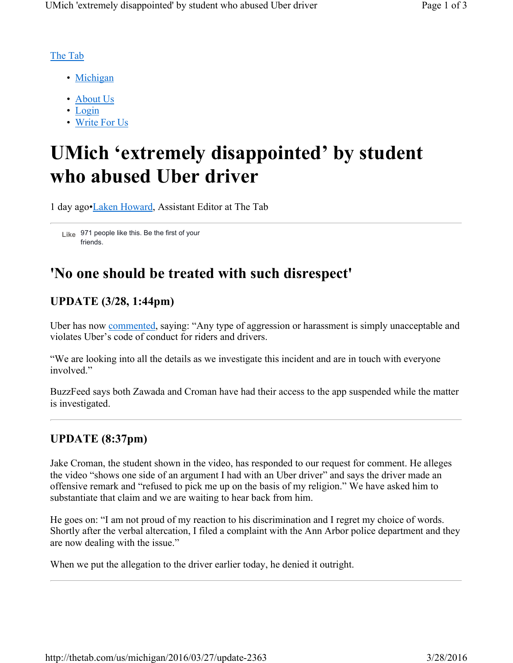#### The Tab

- Michigan
- About Us
- Login
- Write For Us

# **UMich 'extremely disappointed' by student who abused Uber driver**

1 day ago•Laken Howard, Assistant Editor at The Tab

971 people like this. Be the first of your **Like** friends.

## **'No one should be treated with such disrespect'**

### **UPDATE (3/28, 1:44pm)**

Uber has now commented, saying: "Any type of aggression or harassment is simply unacceptable and violates Uber's code of conduct for riders and drivers.

"We are looking into all the details as we investigate this incident and are in touch with everyone involved"

BuzzFeed says both Zawada and Croman have had their access to the app suspended while the matter is investigated.

#### **UPDATE (8:37pm)**

Jake Croman, the student shown in the video, has responded to our request for comment. He alleges the video "shows one side of an argument I had with an Uber driver" and says the driver made an offensive remark and "refused to pick me up on the basis of my religion." We have asked him to substantiate that claim and we are waiting to hear back from him.

He goes on: "I am not proud of my reaction to his discrimination and I regret my choice of words. Shortly after the verbal altercation, I filed a complaint with the Ann Arbor police department and they are now dealing with the issue."

When we put the allegation to the driver earlier today, he denied it outright.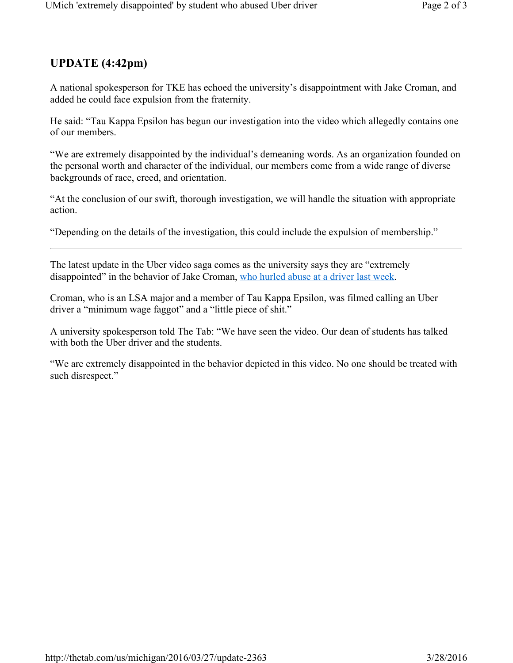## **UPDATE (4:42pm)**

A national spokesperson for TKE has echoed the university's disappointment with Jake Croman, and added he could face expulsion from the fraternity.

He said: "Tau Kappa Epsilon has begun our investigation into the video which allegedly contains one of our members.

"We are extremely disappointed by the individual's demeaning words. As an organization founded on the personal worth and character of the individual, our members come from a wide range of diverse backgrounds of race, creed, and orientation.

"At the conclusion of our swift, thorough investigation, we will handle the situation with appropriate action.

"Depending on the details of the investigation, this could include the expulsion of membership."

The latest update in the Uber video saga comes as the university says they are "extremely disappointed" in the behavior of Jake Croman, who hurled abuse at a driver last week.

Croman, who is an LSA major and a member of Tau Kappa Epsilon, was filmed calling an Uber driver a "minimum wage faggot" and a "little piece of shit."

A university spokesperson told The Tab: "We have seen the video. Our dean of students has talked with both the Uber driver and the students.

"We are extremely disappointed in the behavior depicted in this video. No one should be treated with such disrespect."